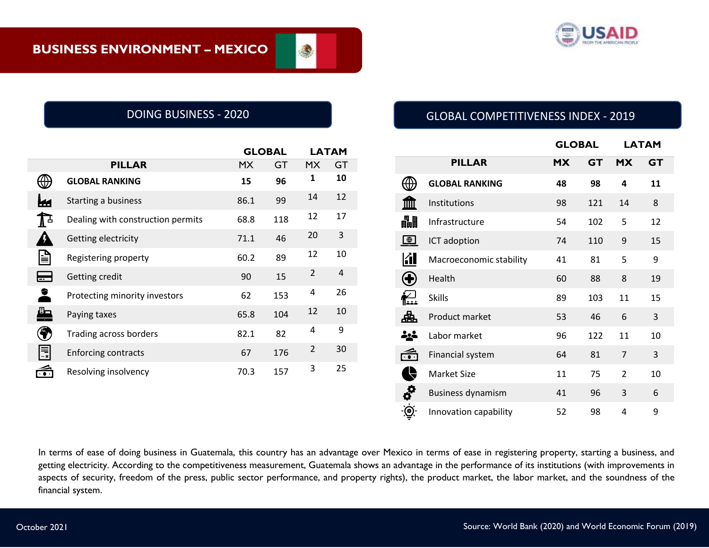

۸

|                    |                                   |           | <b>GLOBAL</b> |                | <b>LATAM</b>   |  |
|--------------------|-----------------------------------|-----------|---------------|----------------|----------------|--|
|                    | <b>PILLAR</b>                     | <b>MX</b> | GT            | <b>MX</b>      | GT             |  |
|                    | <b>GLOBAL RANKING</b>             | 15        | 96            | 1              | 10             |  |
| ĸм                 | Starting a business               | 86.1      | 99            | 14             | 12             |  |
| $\mathbf{I}$       | Dealing with construction permits | 68.8      | 118           | 12             | 17             |  |
| Ω                  | Getting electricity               | 71.1      | 46            | 20             | 3              |  |
| e                  | Registering property              | 60.2      | 89            | 12             | 10             |  |
| ⋿                  | Getting credit                    | 90        | 15            | 2              | $\overline{4}$ |  |
| $\hat{\mathbf{z}}$ | Protecting minority investors     | 62        | 153           | 4              | 26             |  |
| <u>a,</u>          | Paying taxes                      | 65.8      | 104           | 12             | 10             |  |
| ۶                  | Trading across borders            | 82.1      | 82            | 4              | 9              |  |
| 围                  | <b>Enforcing contracts</b>        | 67        | 176           | $\overline{2}$ | 30             |  |
| $\widehat{\cdots}$ | Resolving insolvency              | 70.3      | 157           | 3              | 25             |  |

# DOING BUSINESS - 2020 GLOBAL COMPETITIVENESS INDEX - 2019

|                    |                          |           | <b>GLOBAL</b> |                | <b>LATAM</b> |  |
|--------------------|--------------------------|-----------|---------------|----------------|--------------|--|
|                    | <b>PILLAR</b>            | <b>MX</b> | <b>GT</b>     | <b>MX</b>      | <b>GT</b>    |  |
|                    | <b>GLOBAL RANKING</b>    | 48        | 98            | 4              | 11           |  |
|                    | Institutions             | 98        | 121           | 14             | 8            |  |
| 畾                  | Infrastructure           | 54        | 102           | 5              | 12           |  |
| $\bigoplus$        | ICT adoption             | 74        | 110           | 9              | 15           |  |
| 团                  | Macroeconomic stability  | 41        | 81            | 5              | 9            |  |
|                    | Health                   | 60        | 88            | 8              | 19           |  |
| i⁄<br>I            | <b>Skills</b>            | 89        | 103           | 11             | 15           |  |
| 喦                  | Product market           | 53        | 46            | 6              | 3            |  |
| ذية<br>ا           | Labor market             | 96        | 122           | 11             | 10           |  |
| $\widehat{\cdots}$ | Financial system         | 64        | 81            | $\overline{7}$ | 3            |  |
|                    | <b>Market Size</b>       | 11        | 75            | $\overline{2}$ | 10           |  |
| ó                  | <b>Business dynamism</b> | 41        | 96            | 3              | 6            |  |
| ⊚                  | Innovation capability    | 52        | 98            | 4              | 9            |  |

In terms of ease of doing business in Guatemala, this country has an advantage over Mexico in terms of ease in registering property, starting a business, and getting electricity. According to the competitiveness measurement, Guatemala shows an advantage in the performance of its institutions (with improvements in aspects of security, freedom of the press, public sector performance, and property rights), the product market, the labor market, and the soundness of the financial system.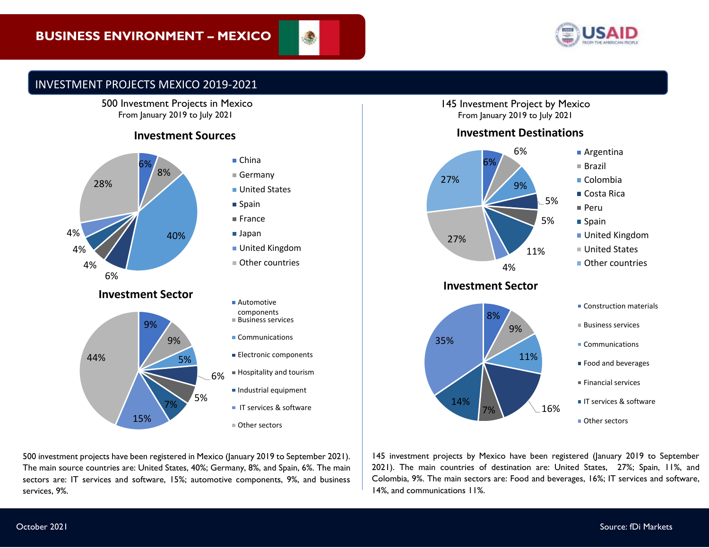

# INVESTMENT PROJECTS MEXICO 2019-2021

500 Investment Projects in Mexico From January 2019 to July 2021

# **Investment Sources**



500 investment projects have been registered in Mexico (January 2019 to September 2021). The main source countries are: United States, 40%; Germany, 8%, and Spain, 6%. The main sectors are: IT services and software, 15%; automotive components, 9%, and business services, 9%.

145 Investment Project by Mexico From January 2019 to July 2021

#### **Investment Destinations**



# 8% 9% 11% 7% 16% 14% 35%



- $B$ usiness services
- Communications
- Food and beverages
- $F$ inancial services
- **IT services & software**

■ Other sectors

145 investment projects by Mexico have been registered (January 2019 to September 2021). The main countries of destination are: United States, 27%; Spain, 11%, and Colombia, 9%. The main sectors are: Food and beverages, 16%; IT services and software, 14%, and communications 11%.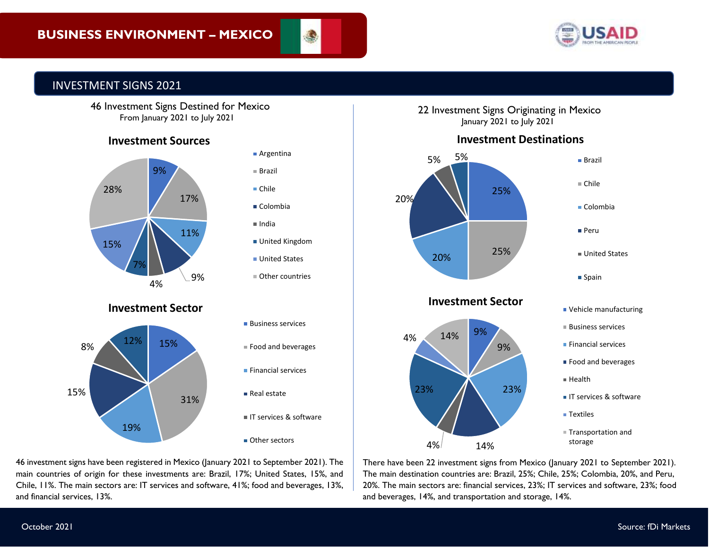



# INVESTMENT SIGNS 2021



# **Investment Sources**



main countries of origin for these investments are: Brazil, 17%; United States, 15%, and 46 investment signs have been registered in Mexico (January 2021 to September 2021). The Chile, 11%. The main sectors are: IT services and software, 41%; food and beverages, 13%, and financial services, 13%.

#### 22 Investment Signs Originating in Mexico January 2021 to July 2021

# **Investment Destinations**



There have been 22 investment signs from Mexico (January 2021 to September 2021). The main destination countries are: Brazil, 25%; Chile, 25%; Colombia, 20%, and Peru, 20%. The main sectors are: financial services, 23%; IT services and software, 23%; food and beverages, 14%, and transportation and storage, 14%.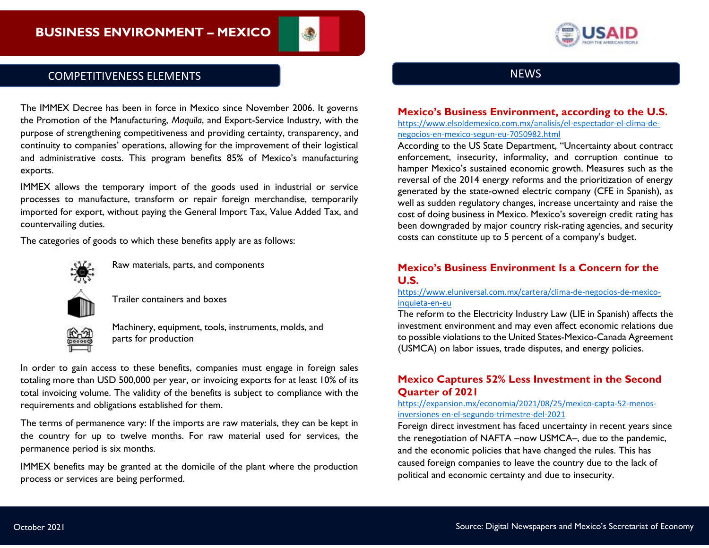

# COMPETITIVENESS ELEMENTS

The IMMEX Decree has been in force in Mexico since November 2006. It governs the Promotion of the Manufacturing, *Maquila*, and Export-Service Industry, with the purpose of strengthening competitiveness and providing certainty, transparency, and continuity to companies' operations, allowing for the improvement of their logistical and administrative costs. This program benefits 85% of Mexico's manufacturing exports.

IMMEX allows the temporary import of the goods used in industrial or service processes to manufacture, transform or repair foreign merchandise, temporarily imported for export, without paying the General Import Tax, Value Added Tax, and countervailing duties.

The categories of goods to which these benefits apply are as follows:



Raw materials, parts, and components



Trailer containers and boxes



Machinery, equipment, tools, instruments, molds, and parts for production

In order to gain access to these benefits, companies must engage in foreign sales totaling more than USD 500,000 per year, or invoicing exports for at least 10% of its total invoicing volume. The validity of the benefits is subject to compliance with the requirements and obligations established for them.

The terms of permanence vary: If the imports are raw materials, they can be kept in the country for up to twelve months. For raw material used for services, the permanence period is six months.

IMMEX benefits may be granted at the domicile of the plant where the production process or services are being performed.



#### **Mexico's Business Environment, according to the U.S.**

[https://www.elsoldemexico.com.mx/analisis/el-espectador-el-clima-de](https://www.elsoldemexico.com.mx/analisis/el-espectador-el-clima-de-negocios-en-mexico-segun-eu-7050982.html)[negocios-en-mexico-segun-eu-7050982.html](https://www.elsoldemexico.com.mx/analisis/el-espectador-el-clima-de-negocios-en-mexico-segun-eu-7050982.html)

According to the US State Department, "Uncertainty about contract enforcement, insecurity, informality, and corruption continue to hamper Mexico's sustained economic growth. Measures such as the reversal of the 2014 energy reforms and the prioritization of energy generated by the state-owned electric company (CFE in Spanish), as well as sudden regulatory changes, increase uncertainty and raise the cost of doing business in Mexico. Mexico's sovereign credit rating has been downgraded by major country risk-rating agencies, and security costs can constitute up to 5 percent of a company's budget.

#### **Mexico's Business Environment Is a Concern for the U.S.**

#### [https://www.eluniversal.com.mx/cartera/clima-de-negocios-de-mexico](https://www.eluniversal.com.mx/cartera/clima-de-negocios-de-mexico-inquieta-en-eu)[inquieta-en-eu](https://www.eluniversal.com.mx/cartera/clima-de-negocios-de-mexico-inquieta-en-eu)

The reform to the Electricity Industry Law (LIE in Spanish) affects the investment environment and may even affect economic relations due to possible violations to the United States-Mexico-Canada Agreement (USMCA) on labor issues, trade disputes, and energy policies.

#### **Mexico Captures 52% Less Investment in the Second Quarter of 2021**

[https://expansion.mx/economia/2021/08/25/mexico-capta-52-menos](https://expansion.mx/economia/2021/08/25/mexico-capta-52-menos-inversiones-en-el-segundo-trimestre-del-2021)[inversiones-en-el-segundo-trimestre-del-2021](https://expansion.mx/economia/2021/08/25/mexico-capta-52-menos-inversiones-en-el-segundo-trimestre-del-2021)

Foreign direct investment has faced uncertainty in recent years since the renegotiation of NAFTA –now USMCA–, due to the pandemic, and the economic policies that have changed the rules. This has caused foreign companies to leave the country due to the lack of political and economic certainty and due to insecurity.

Secretaría de Economía de México